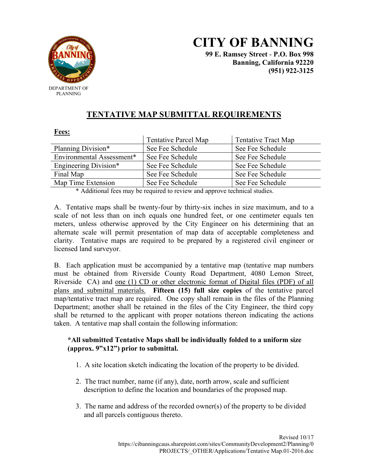

# **CITY OF BANNING 99 E. Ramsey Street** - **P.O. Box 998**

**Banning, California 92220 (951) 922-3125**

## **TENTATIVE MAP SUBMITTAL REQUIREMENTS**

#### **Fees:**

| <b>Tentative Parcel Map</b> | Tentative Tract Map |
|-----------------------------|---------------------|
| See Fee Schedule            | See Fee Schedule    |
| See Fee Schedule            | See Fee Schedule    |
| See Fee Schedule            | See Fee Schedule    |
| See Fee Schedule            | See Fee Schedule    |
| See Fee Schedule            | See Fee Schedule    |
|                             |                     |

\* Additional fees may be required to review and approve technical studies.

A. Tentative maps shall be twenty-four by thirty-six inches in size maximum, and to a scale of not less than on inch equals one hundred feet, or one centimeter equals ten meters, unless otherwise approved by the City Engineer on his determining that an alternate scale will permit presentation of map data of acceptable completeness and clarity. Tentative maps are required to be prepared by a registered civil engineer or licensed land surveyor.

B. Each application must be accompanied by a tentative map (tentative map numbers must be obtained from Riverside County Road Department, 4080 Lemon Street, Riverside CA) and one (1) CD or other electronic format of Digital files (PDF) of all plans and submittal materials. **Fifteen (15) full size copies** of the tentative parcel map/tentative tract map are required. One copy shall remain in the files of the Planning Department; another shall be retained in the files of the City Engineer, the third copy shall be returned to the applicant with proper notations thereon indicating the actions taken. A tentative map shall contain the following information:

### **\*All submitted Tentative Maps shall be individually folded to a uniform size (approx. 9"x12") prior to submittal.**

- 1. A site location sketch indicating the location of the property to be divided.
- 2. The tract number, name (if any), date, north arrow, scale and sufficient description to define the location and boundaries of the proposed map.
- 3. The name and address of the recorded owner(s) of the property to be divided and all parcels contiguous thereto.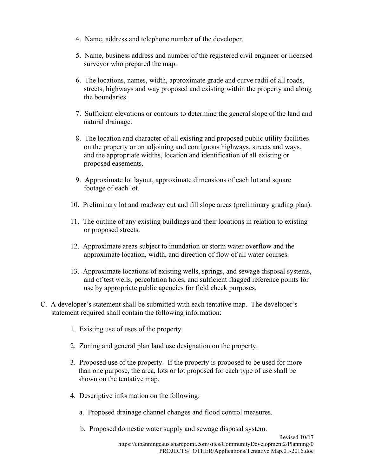- 4. Name, address and telephone number of the developer.
- 5. Name, business address and number of the registered civil engineer or licensed surveyor who prepared the map.
- 6. The locations, names, width, approximate grade and curve radii of all roads, streets, highways and way proposed and existing within the property and along the boundaries.
- 7. Sufficient elevations or contours to determine the general slope of the land and natural drainage.
- 8. The location and character of all existing and proposed public utility facilities on the property or on adjoining and contiguous highways, streets and ways, and the appropriate widths, location and identification of all existing or proposed easements.
- 9. Approximate lot layout, approximate dimensions of each lot and square footage of each lot.
- 10. Preliminary lot and roadway cut and fill slope areas (preliminary grading plan).
- 11. The outline of any existing buildings and their locations in relation to existing or proposed streets.
- 12. Approximate areas subject to inundation or storm water overflow and the approximate location, width, and direction of flow of all water courses.
- 13. Approximate locations of existing wells, springs, and sewage disposal systems, and of test wells, percolation holes, and sufficient flagged reference points for use by appropriate public agencies for field check purposes.
- C. A developer's statement shall be submitted with each tentative map. The developer's statement required shall contain the following information:
	- 1. Existing use of uses of the property.
	- 2. Zoning and general plan land use designation on the property.
	- 3. Proposed use of the property. If the property is proposed to be used for more than one purpose, the area, lots or lot proposed for each type of use shall be shown on the tentative map.
	- 4. Descriptive information on the following:
		- a. Proposed drainage channel changes and flood control measures.
		- b. Proposed domestic water supply and sewage disposal system.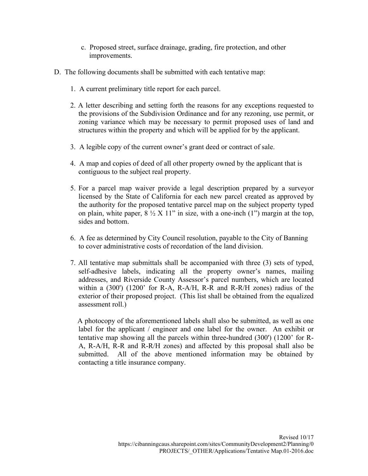- c. Proposed street, surface drainage, grading, fire protection, and other improvements.
- D. The following documents shall be submitted with each tentative map:
	- 1. A current preliminary title report for each parcel.
	- 2. A letter describing and setting forth the reasons for any exceptions requested to the provisions of the Subdivision Ordinance and for any rezoning, use permit, or zoning variance which may be necessary to permit proposed uses of land and structures within the property and which will be applied for by the applicant.
	- 3. A legible copy of the current owner's grant deed or contract of sale.
	- 4. A map and copies of deed of all other property owned by the applicant that is contiguous to the subject real property.
	- 5. For a parcel map waiver provide a legal description prepared by a surveyor licensed by the State of California for each new parcel created as approved by the authority for the proposed tentative parcel map on the subject property typed on plain, white paper,  $8 \frac{1}{2}$  X 11" in size, with a one-inch (1") margin at the top, sides and bottom.
	- 6. A fee as determined by City Council resolution, payable to the City of Banning to cover administrative costs of recordation of the land division.
	- 7. All tentative map submittals shall be accompanied with three (3) sets of typed, self-adhesive labels, indicating all the property owner's names, mailing addresses, and Riverside County Assessor's parcel numbers, which are located within a (300') (1200' for R-A, R-A/H, R-R and R-R/H zones) radius of the exterior of their proposed project. (This list shall be obtained from the equalized assessment roll.)

 A photocopy of the aforementioned labels shall also be submitted, as well as one label for the applicant / engineer and one label for the owner. An exhibit or tentative map showing all the parcels within three-hundred (300') (1200' for R-A, R-A/H, R-R and R-R/H zones) and affected by this proposal shall also be submitted. All of the above mentioned information may be obtained by contacting a title insurance company.